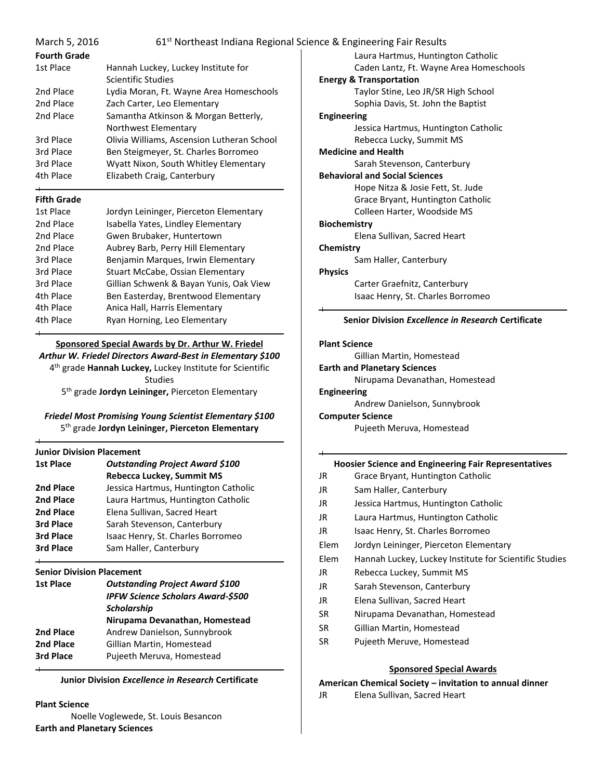| March 5, 2016       |                                            | 61 <sup>st</sup> Northeast Indiana Regional Science & Engineering Fair Results |
|---------------------|--------------------------------------------|--------------------------------------------------------------------------------|
| <b>Fourth Grade</b> |                                            | Laura Hartmus, Hunting                                                         |
| 1st Place           | Hannah Luckey, Luckey Institute for        | Caden Lantz, Ft. Wayne                                                         |
|                     | Scientific Studies                         | <b>Energy &amp; Transportation</b>                                             |
| 2nd Place           | Lydia Moran, Ft. Wayne Area Homeschools    | Taylor Stine, Leo JR/SR                                                        |
| 2nd Place           | Zach Carter, Leo Elementary                | Sophia Davis, St. John t                                                       |
| 2nd Place           | Samantha Atkinson & Morgan Betterly,       | <b>Engineering</b>                                                             |
|                     | Northwest Elementary                       | Jessica Hartmus, Huntii                                                        |
| 3rd Place           | Olivia Williams, Ascension Lutheran School | Rebecca Lucky, Summit                                                          |
| 3rd Place           | Ben Steigmeyer, St. Charles Borromeo       | <b>Medicine and Health</b>                                                     |
| 3rd Place           | Wyatt Nixon, South Whitley Elementary      | Sarah Stevenson, Cante                                                         |
| 4th Place           | Elizabeth Craig, Canterbury                | <b>Behavioral and Social Sciences</b>                                          |
|                     |                                            | Hope Nitza & Josie Fett                                                        |
| <b>Fifth Grade</b>  |                                            | Grace Bryant, Huntingt                                                         |
| 1st Place           | Jordyn Leininger, Pierceton Elementary     | Colleen Harter, Woodsi                                                         |
| 2nd Place           | Isabella Yates, Lindley Elementary         | <b>Biochemistry</b>                                                            |
| 2nd Place           | Gwen Brubaker, Huntertown                  | Elena Sullivan, Sacred H                                                       |
| 2nd Place           | Aubrey Barb, Perry Hill Elementary         | Chemistry                                                                      |
| 3rd Place           | Benjamin Marques, Irwin Elementary         | Sam Haller, Canterbury                                                         |
| 3rd Place           | Stuart McCabe, Ossian Elementary           | <b>Physics</b>                                                                 |
| 3rd Place           | Gillian Schwenk & Bayan Yunis, Oak View    | Carter Graefnitz, Cante                                                        |
| 4th Place           | Ben Easterday, Brentwood Elementary        | Isaac Henry, St. Charles                                                       |

# **Sponsored Special Awards by Dr. Arthur W. Friedel**

4th Place Anica Hall, Harris Elementary 4th Place Ryan Horning, Leo Elementary

*Arthur W. Friedel Directors Award-Best in Elementary \$100*

4 th grade **Hannah Luckey,** Luckey Institute for Scientific

Studies

5 th grade **Jordyn Leininger,** Pierceton Elementary

## *Friedel Most Promising Young Scientist Elementary \$100* 5 th grade **Jordyn Leininger, Pierceton Elementary**

#### **Junior Division Placement**

| <b>1st Place</b> | <b>Outstanding Project Award \$100</b><br>Rebecca Luckey, Summit MS |
|------------------|---------------------------------------------------------------------|
| 2nd Place        | Jessica Hartmus, Huntington Catholic                                |
| 2nd Place        | Laura Hartmus, Huntington Catholic                                  |
| 2nd Place        | Elena Sullivan, Sacred Heart                                        |
| 3rd Place        | Sarah Stevenson, Canterbury                                         |
| 3rd Place        | Isaac Henry, St. Charles Borromeo                                   |
| 3rd Place        | Sam Haller, Canterbury                                              |

## **Senior Division Placement**

| <b>1st Place</b> | <b>Outstanding Project Award \$100</b><br><b>IPFW Science Scholars Award-\$500</b><br><b>Scholarship</b> |  |  |
|------------------|----------------------------------------------------------------------------------------------------------|--|--|
|                  | Nirupama Devanathan, Homestead                                                                           |  |  |
| 2nd Place        | Andrew Danielson, Sunnybrook                                                                             |  |  |
| 2nd Place        | Gillian Martin, Homestead                                                                                |  |  |
| 3rd Place        | Pujeeth Meruva, Homestead                                                                                |  |  |

**Junior Division** *Excellence in Research* **Certificate**

#### **Plant Science**

Noelle Voglewede, St. Louis Besancon **Earth and Planetary Sciences**

|                      | ence & Engineering Fair Results                    |
|----------------------|----------------------------------------------------|
|                      | Laura Hartmus, Huntington Catholic                 |
|                      | Caden Lantz, Ft. Wayne Area Homeschools            |
|                      | <b>Energy &amp; Transportation</b>                 |
|                      | Taylor Stine, Leo JR/SR High School                |
|                      | Sophia Davis, St. John the Baptist                 |
| <b>Engineering</b>   |                                                    |
|                      | Jessica Hartmus, Huntington Catholic               |
|                      | Rebecca Lucky, Summit MS                           |
|                      | <b>Medicine and Health</b>                         |
|                      | Sarah Stevenson, Canterbury                        |
|                      | <b>Behavioral and Social Sciences</b>              |
|                      | Hope Nitza & Josie Fett, St. Jude                  |
|                      | Grace Bryant, Huntington Catholic                  |
|                      | Colleen Harter, Woodside MS                        |
| Biochemistry         |                                                    |
|                      | Elena Sullivan, Sacred Heart                       |
| Chemistry            |                                                    |
|                      | Sam Haller, Canterbury                             |
| <b>Physics</b>       |                                                    |
|                      | Carter Graefnitz, Canterbury                       |
|                      | Isaac Henry, St. Charles Borromeo                  |
|                      |                                                    |
|                      | Senior Division Excellence in Research Certificate |
|                      |                                                    |
| <b>Plant Science</b> |                                                    |

## **Plant Science**

Gillian Martin, Homestead

- **Earth and Planetary Sciences**
	- Nirupama Devanathan, Homestead
- **Engineering**
- Andrew Danielson, Sunnybrook **Computer Science**

Pujeeth Meruva, Homestead

## **Hoosier Science and Engineering Fair Representatives**

- JR Grace Bryant, Huntington Catholic
- JR Sam Haller, Canterbury
- JR Jessica Hartmus, Huntington Catholic
- JR Laura Hartmus, Huntington Catholic
- JR Isaac Henry, St. Charles Borromeo
- Elem Jordyn Leininger, Pierceton Elementary
- Elem Hannah Luckey, Luckey Institute for Scientific Studies
- JR Rebecca Luckey, Summit MS
- JR Sarah Stevenson, Canterbury
- JR Elena Sullivan, Sacred Heart
- SR Nirupama Devanathan, Homestead
- SR Gillian Martin, Homestead
- SR Pujeeth Meruve, Homestead

## **Sponsored Special Awards**

## **American Chemical Society – invitation to annual dinner**

JR Elena Sullivan, Sacred Heart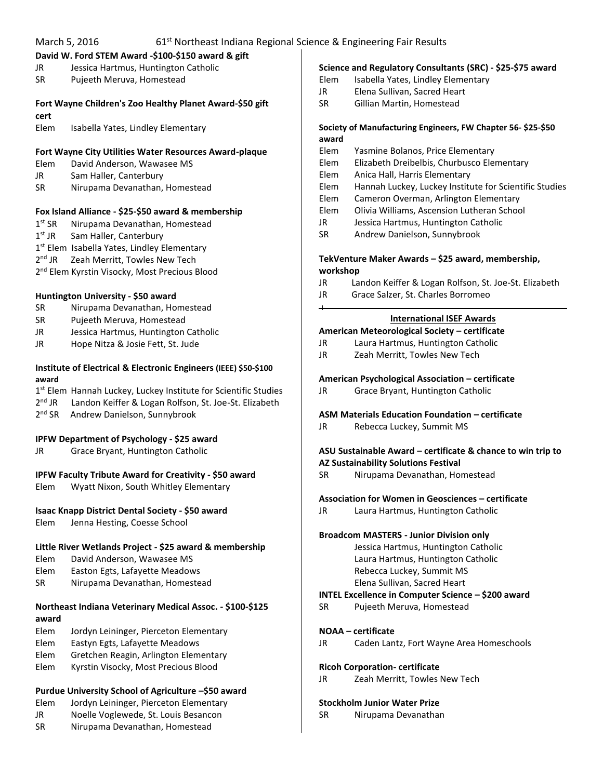|              | March 5, 2016<br>61 <sup>st</sup> Northeast Indiana Regional Science & Engineering Fair Results |           |                                                             |
|--------------|-------------------------------------------------------------------------------------------------|-----------|-------------------------------------------------------------|
|              | David W. Ford STEM Award -\$100-\$150 award & gift                                              |           |                                                             |
| JR           | Jessica Hartmus, Huntington Catholic                                                            |           | Science and Regulatory Consultants (SRC) - \$25-\$75 award  |
| <b>SR</b>    | Pujeeth Meruva, Homestead                                                                       | Elem      | Isabella Yates, Lindley Elementary                          |
|              |                                                                                                 | JR        | Elena Sullivan, Sacred Heart                                |
|              | Fort Wayne Children's Zoo Healthy Planet Award-\$50 gift                                        | <b>SR</b> | Gillian Martin, Homestead                                   |
| cert<br>Elem | Isabella Yates, Lindley Elementary                                                              |           | Society of Manufacturing Engineers, FW Chapter 56-\$25-\$50 |
|              |                                                                                                 | award     |                                                             |
|              | Fort Wayne City Utilities Water Resources Award-plaque                                          | Elem      | Yasmine Bolanos, Price Elementary                           |
| Elem         | David Anderson, Wawasee MS                                                                      | Elem      | Elizabeth Dreibelbis, Churbusco Elementary                  |
| JR           | Sam Haller, Canterbury                                                                          | Elem      | Anica Hall, Harris Elementary                               |
| SR           | Nirupama Devanathan, Homestead                                                                  | Elem      | Hannah Luckey, Luckey Institute for Scientific Studies      |
|              |                                                                                                 | Elem      | Cameron Overman, Arlington Elementary                       |
|              | Fox Island Alliance - \$25-\$50 award & membership                                              | Elem      | Olivia Williams, Ascension Lutheran School                  |
| $1st$ SR     | Nirupama Devanathan, Homestead                                                                  | JR.       | Jessica Hartmus, Huntington Catholic                        |
| $1st$ JR     | Sam Haller, Canterbury                                                                          | SR        | Andrew Danielson, Sunnybrook                                |
|              | 1 <sup>st</sup> Elem Isabella Yates, Lindley Elementary                                         |           |                                                             |
| $2nd$ JR     | Zeah Merritt, Towles New Tech                                                                   |           | TekVenture Maker Awards - \$25 award, membership,           |
|              | 2 <sup>nd</sup> Elem Kyrstin Visocky, Most Precious Blood                                       | workshop  |                                                             |
|              |                                                                                                 | JR        | Landon Keiffer & Logan Rolfson, St. Joe-St. Elizabeth       |
|              | Huntington University - \$50 award                                                              | JR        | Grace Salzer, St. Charles Borromeo                          |
| SR           | Nirupama Devanathan, Homestead                                                                  | $\div$    |                                                             |
| SR           | Pujeeth Meruva, Homestead                                                                       |           | <b>International ISEF Awards</b>                            |
| JR           | Jessica Hartmus, Huntington Catholic                                                            |           | American Meteorological Society - certificate               |
| JR           | Hope Nitza & Josie Fett, St. Jude                                                               | JR.       | Laura Hartmus, Huntington Catholic                          |
|              |                                                                                                 | JR        | Zeah Merritt, Towles New Tech                               |
|              | Institute of Electrical & Electronic Engineers (IEEE) \$50-\$100                                |           |                                                             |
| award        |                                                                                                 |           | American Psychological Association - certificate            |
|              | 1st Elem Hannah Luckey, Luckey Institute for Scientific Studies                                 | JR        | Grace Bryant, Huntington Catholic                           |
| $2nd$ JR     | Landon Keiffer & Logan Rolfson, St. Joe-St. Elizabeth                                           |           |                                                             |
| $2nd$ SR     | Andrew Danielson, Sunnybrook                                                                    |           | ASM Materials Education Foundation - certificate            |
|              |                                                                                                 | JR        | Rebecca Luckey, Summit MS                                   |
|              | IPFW Department of Psychology - \$25 award                                                      |           |                                                             |
| JR           | Grace Bryant, Huntington Catholic                                                               |           | ASU Sustainable Award - certificate & chance to win trip to |
|              |                                                                                                 |           | <b>AZ Sustainability Solutions Festival</b>                 |
|              | IPFW Faculty Tribute Award for Creativity - \$50 award                                          | SR        | Nirupama Devanathan, Homestead                              |
| Elem         | Wyatt Nixon, South Whitley Elementary                                                           |           |                                                             |
|              |                                                                                                 |           | Association for Women in Geosciences - certificate          |
|              | Isaac Knapp District Dental Society - \$50 award                                                | JR.       | Laura Hartmus, Huntington Catholic                          |
| Elem         | Jenna Hesting, Coesse School                                                                    |           |                                                             |
|              |                                                                                                 |           | <b>Broadcom MASTERS - Junior Division only</b>              |
|              | Little River Wetlands Project - \$25 award & membership                                         |           | Jessica Hartmus, Huntington Catholic                        |
| Elem         | David Anderson, Wawasee MS                                                                      |           | Laura Hartmus, Huntington Catholic                          |
| Elem         | Easton Egts, Lafayette Meadows                                                                  |           | Rebecca Luckey, Summit MS                                   |
| SR           | Nirupama Devanathan, Homestead                                                                  |           | Elena Sullivan, Sacred Heart                                |
|              |                                                                                                 |           | INTEL Excellence in Computer Science - \$200 award          |
|              | Northeast Indiana Veterinary Medical Assoc. - \$100-\$125                                       | <b>SR</b> | Pujeeth Meruva, Homestead                                   |
| award        |                                                                                                 |           |                                                             |
| Elem         | Jordyn Leininger, Pierceton Elementary                                                          |           | <b>NOAA</b> - certificate                                   |
| Elem         | Eastyn Egts, Lafayette Meadows                                                                  | JR        | Caden Lantz, Fort Wayne Area Homeschools                    |
| Elem         | Gretchen Reagin, Arlington Elementary                                                           |           |                                                             |
| Elem         | Kyrstin Visocky, Most Precious Blood                                                            |           | <b>Ricoh Corporation- certificate</b>                       |
|              |                                                                                                 | JR        | Zeah Merritt, Towles New Tech                               |
|              | Purdue University School of Agriculture -\$50 award                                             |           |                                                             |
| Elem         | Jordyn Leininger, Pierceton Elementary                                                          |           | <b>Stockholm Junior Water Prize</b>                         |
| JR           | Noelle Voglewede, St. Louis Besancon                                                            | SR        | Nirupama Devanathan                                         |
|              |                                                                                                 |           |                                                             |
| SR           | Nirupama Devanathan, Homestead                                                                  |           |                                                             |